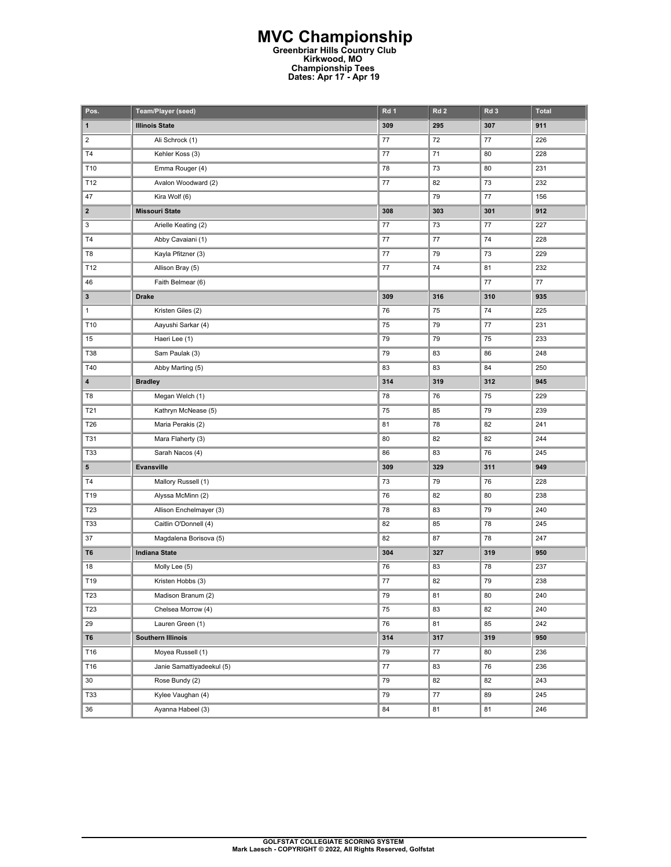## **MVC Championship Greenbriar Hills Country Club Kirkwood, MO Championship Tees Dates: Apr 17 - Apr 19**

| Pos.                    | Team/Player (seed)        | Rd 1 | Rd <sub>2</sub> | Rd <sub>3</sub> | <b>Total</b> |
|-------------------------|---------------------------|------|-----------------|-----------------|--------------|
| 1                       | <b>Illinois State</b>     | 309  | 295             | 307             | 911          |
| $\overline{\mathbf{c}}$ | Ali Schrock (1)           | 77   | 72              | 77              | 226          |
| T4                      | Kehler Koss (3)           | 77   | 71              | 80              | 228          |
| T10                     | Emma Rouger (4)           | 78   | 73              | 80              | 231          |
| T12                     | Avalon Woodward (2)       | 77   | 82              | 73              | 232          |
| 47                      | Kira Wolf (6)             |      | 79              | 77              | 156          |
| $\mathbf{2}$            | <b>Missouri State</b>     | 308  | 303             | 301             | 912          |
| 3                       | Arielle Keating (2)       | 77   | 73              | 77              | 227          |
| T4                      | Abby Cavaiani (1)         | 77   | 77              | 74              | 228          |
| T8                      | Kayla Pfitzner (3)        | 77   | 79              | 73              | 229          |
| T12                     | Allison Bray (5)          | 77   | 74              | 81              | 232          |
| 46                      | Faith Belmear (6)         |      |                 | $77 \,$         | $77 \,$      |
| $\mathbf{3}$            | <b>Drake</b>              | 309  | 316             | 310             | 935          |
| $\mathbf{1}$            | Kristen Giles (2)         | 76   | 75              | 74              | 225          |
| T10                     | Aayushi Sarkar (4)        | 75   | 79              | 77              | 231          |
| 15                      | Haeri Lee (1)             | 79   | 79              | 75              | 233          |
| T38                     | Sam Paulak (3)            | 79   | 83              | 86              | 248          |
| T40                     | Abby Marting (5)          | 83   | 83              | 84              | 250          |
| 4                       | <b>Bradley</b>            | 314  | 319             | 312             | 945          |
| T8                      | Megan Welch (1)           | 78   | 76              | 75              | 229          |
| T21                     | Kathryn McNease (5)       | 75   | 85              | 79              | 239          |
| T26                     | Maria Perakis (2)         | 81   | 78              | 82              | 241          |
| <b>T31</b>              | Mara Flaherty (3)         | 80   | 82              | 82              | 244          |
| <b>T33</b>              | Sarah Nacos (4)           | 86   | 83              | 76              | 245          |
| 5                       | Evansville                | 309  | 329             | 311             | 949          |
| T <sub>4</sub>          | Mallory Russell (1)       | 73   | 79              | 76              | 228          |
| T19                     | Alyssa McMinn (2)         | 76   | 82              | 80              | 238          |
| T23                     | Allison Enchelmayer (3)   | 78   | 83              | 79              | 240          |
| <b>T33</b>              | Caitlin O'Donnell (4)     | 82   | 85              | 78              | 245          |
| 37                      | Magdalena Borisova (5)    | 82   | 87              | 78              | 247          |
| T6                      | <b>Indiana State</b>      | 304  | 327             | 319             | 950          |
| 18                      | Molly Lee (5)             | 76   | 83              | 78              | 237          |
| T19                     | Kristen Hobbs (3)         | 77   | 82              | 79              | 238          |
| T23                     | Madison Branum (2)        | 79   | 81              | 80              | 240          |
| T23                     | Chelsea Morrow (4)        | 75   | 83              | 82              | 240          |
| 29                      | Lauren Green (1)          | 76   | 81              | 85              | 242          |
| T6                      | <b>Southern Illinois</b>  | 314  | 317             | 319             | 950          |
| T16                     | Moyea Russell (1)         | 79   | 77              | 80              | 236          |
| T16                     | Janie Samattiyadeekul (5) | 77   | 83              | 76              | 236          |
| 30                      | Rose Bundy (2)            | 79   | 82              | 82              | 243          |
| <b>T33</b>              | Kylee Vaughan (4)         | 79   | 77              | 89              | 245          |
| 36                      | Ayanna Habeel (3)         | 84   | 81              | 81              | 246          |